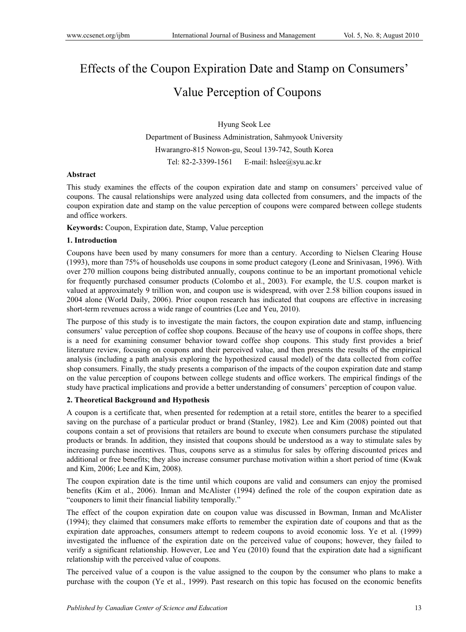# Effects of the Coupon Expiration Date and Stamp on Consumers' Value Perception of Coupons

# Hyung Seok Lee Department of Business Administration, Sahmyook University Hwarangro-815 Nowon-gu, Seoul 139-742, South Korea Tel: 82-2-3399-1561 E-mail: hslee@syu.ac.kr

#### **Abstract**

This study examines the effects of the coupon expiration date and stamp on consumers' perceived value of coupons. The causal relationships were analyzed using data collected from consumers, and the impacts of the coupon expiration date and stamp on the value perception of coupons were compared between college students and office workers.

**Keywords:** Coupon, Expiration date, Stamp, Value perception

#### **1. Introduction**

Coupons have been used by many consumers for more than a century. According to Nielsen Clearing House (1993), more than 75% of households use coupons in some product category (Leone and Srinivasan, 1996). With over 270 million coupons being distributed annually, coupons continue to be an important promotional vehicle for frequently purchased consumer products (Colombo et al., 2003). For example, the U.S. coupon market is valued at approximately 9 trillion won, and coupon use is widespread, with over 2.58 billion coupons issued in 2004 alone (World Daily, 2006). Prior coupon research has indicated that coupons are effective in increasing short-term revenues across a wide range of countries (Lee and Yeu, 2010).

The purpose of this study is to investigate the main factors, the coupon expiration date and stamp, influencing consumers' value perception of coffee shop coupons. Because of the heavy use of coupons in coffee shops, there is a need for examining consumer behavior toward coffee shop coupons. This study first provides a brief literature review, focusing on coupons and their perceived value, and then presents the results of the empirical analysis (including a path analysis exploring the hypothesized causal model) of the data collected from coffee shop consumers. Finally, the study presents a comparison of the impacts of the coupon expiration date and stamp on the value perception of coupons between college students and office workers. The empirical findings of the study have practical implications and provide a better understanding of consumers' perception of coupon value.

#### **2. Theoretical Background and Hypothesis**

A coupon is a certificate that, when presented for redemption at a retail store, entitles the bearer to a specified saving on the purchase of a particular product or brand (Stanley, 1982). Lee and Kim (2008) pointed out that coupons contain a set of provisions that retailers are bound to execute when consumers purchase the stipulated products or brands. In addition, they insisted that coupons should be understood as a way to stimulate sales by increasing purchase incentives. Thus, coupons serve as a stimulus for sales by offering discounted prices and additional or free benefits; they also increase consumer purchase motivation within a short period of time (Kwak and Kim, 2006; Lee and Kim, 2008).

The coupon expiration date is the time until which coupons are valid and consumers can enjoy the promised benefits (Kim et al., 2006). Inman and McAlister (1994) defined the role of the coupon expiration date as "couponers to limit their financial liability temporally."

The effect of the coupon expiration date on coupon value was discussed in Bowman, Inman and McAlister (1994); they claimed that consumers make efforts to remember the expiration date of coupons and that as the expiration date approaches, consumers attempt to redeem coupons to avoid economic loss. Ye et al. (1999) investigated the influence of the expiration date on the perceived value of coupons; however, they failed to verify a significant relationship. However, Lee and Yeu (2010) found that the expiration date had a significant relationship with the perceived value of coupons.

The perceived value of a coupon is the value assigned to the coupon by the consumer who plans to make a purchase with the coupon (Ye et al., 1999). Past research on this topic has focused on the economic benefits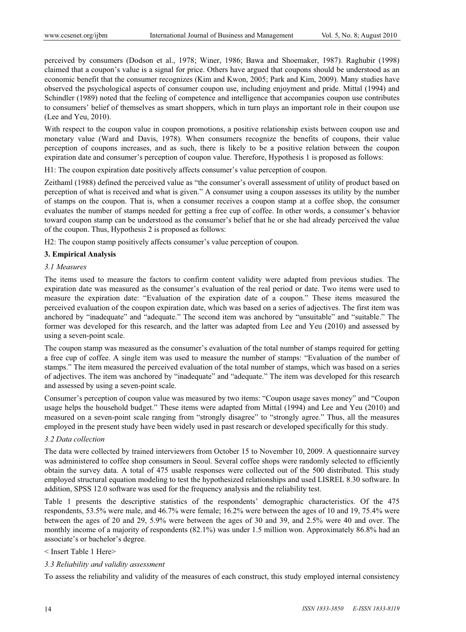perceived by consumers (Dodson et al., 1978; Winer, 1986; Bawa and Shoemaker, 1987). Raghubir (1998) claimed that a coupon's value is a signal for price. Others have argued that coupons should be understood as an economic benefit that the consumer recognizes (Kim and Kwon, 2005; Park and Kim, 2009). Many studies have observed the psychological aspects of consumer coupon use, including enjoyment and pride. Mittal (1994) and Schindler (1989) noted that the feeling of competence and intelligence that accompanies coupon use contributes to consumers' belief of themselves as smart shoppers, which in turn plays an important role in their coupon use (Lee and Yeu, 2010).

With respect to the coupon value in coupon promotions, a positive relationship exists between coupon use and monetary value (Ward and Davis, 1978). When consumers recognize the benefits of coupons, their value perception of coupons increases, and as such, there is likely to be a positive relation between the coupon expiration date and consumer's perception of coupon value. Therefore, Hypothesis 1 is proposed as follows:

H1: The coupon expiration date positively affects consumer's value perception of coupon.

Zeithaml (1988) defined the perceived value as "the consumer's overall assessment of utility of product based on perception of what is received and what is given." A consumer using a coupon assesses its utility by the number of stamps on the coupon. That is, when a consumer receives a coupon stamp at a coffee shop, the consumer evaluates the number of stamps needed for getting a free cup of coffee. In other words, a consumer's behavior toward coupon stamp can be understood as the consumer's belief that he or she had already perceived the value of the coupon. Thus, Hypothesis 2 is proposed as follows:

H2: The coupon stamp positively affects consumer's value perception of coupon.

# **3. Empirical Analysis**

# *3.1 Measures*

The items used to measure the factors to confirm content validity were adapted from previous studies. The expiration date was measured as the consumer's evaluation of the real period or date. Two items were used to measure the expiration date: "Evaluation of the expiration date of a coupon." These items measured the perceived evaluation of the coupon expiration date, which was based on a series of adjectives. The first item was anchored by "inadequate" and "adequate." The second item was anchored by "unsuitable" and "suitable." The former was developed for this research, and the latter was adapted from Lee and Yeu (2010) and assessed by using a seven-point scale.

The coupon stamp was measured as the consumer's evaluation of the total number of stamps required for getting a free cup of coffee. A single item was used to measure the number of stamps: "Evaluation of the number of stamps." The item measured the perceived evaluation of the total number of stamps, which was based on a series of adjectives. The item was anchored by "inadequate" and "adequate." The item was developed for this research and assessed by using a seven-point scale.

Consumer's perception of coupon value was measured by two items: "Coupon usage saves money" and "Coupon usage helps the household budget." These items were adapted from Mittal (1994) and Lee and Yeu (2010) and measured on a seven-point scale ranging from "strongly disagree" to "strongly agree." Thus, all the measures employed in the present study have been widely used in past research or developed specifically for this study.

# *3.2 Data collection*

The data were collected by trained interviewers from October 15 to November 10, 2009. A questionnaire survey was administered to coffee shop consumers in Seoul. Several coffee shops were randomly selected to efficiently obtain the survey data. A total of 475 usable responses were collected out of the 500 distributed. This study employed structural equation modeling to test the hypothesized relationships and used LISREL 8.30 software. In addition, SPSS 12.0 software was used for the frequency analysis and the reliability test.

Table 1 presents the descriptive statistics of the respondents' demographic characteristics. Of the 475 respondents, 53.5% were male, and 46.7% were female; 16.2% were between the ages of 10 and 19, 75.4% were between the ages of 20 and 29, 5.9% were between the ages of 30 and 39, and 2.5% were 40 and over. The monthly income of a majority of respondents  $(82.1\%)$  was under 1.5 million won. Approximately 86.8% had an associate's or bachelor's degree.

#### < Insert Table 1 Here>

#### *3.3 Reliability and validity assessment*

To assess the reliability and validity of the measures of each construct, this study employed internal consistency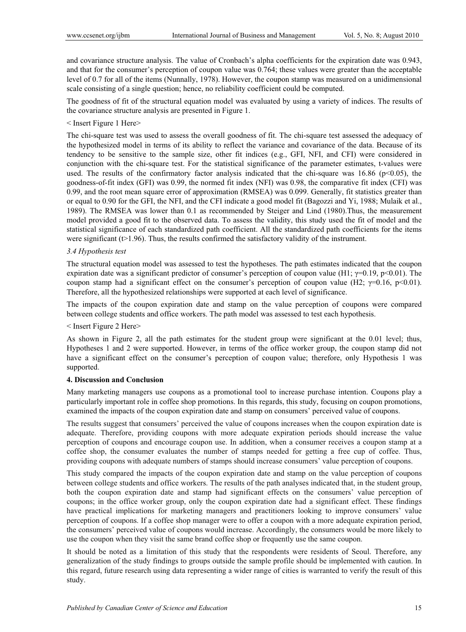and covariance structure analysis. The value of Cronbach's alpha coefficients for the expiration date was 0.943, and that for the consumer's perception of coupon value was 0.764; these values were greater than the acceptable level of 0.7 for all of the items (Nunnally, 1978). However, the coupon stamp was measured on a unidimensional scale consisting of a single question; hence, no reliability coefficient could be computed.

The goodness of fit of the structural equation model was evaluated by using a variety of indices. The results of the covariance structure analysis are presented in Figure 1.

# < Insert Figure 1 Here>

The chi-square test was used to assess the overall goodness of fit. The chi-square test assessed the adequacy of the hypothesized model in terms of its ability to reflect the variance and covariance of the data. Because of its tendency to be sensitive to the sample size, other fit indices (e.g., GFI, NFI, and CFI) were considered in conjunction with the chi-square test. For the statistical significance of the parameter estimates, t-values were used. The results of the confirmatory factor analysis indicated that the chi-square was  $16.86$  ( $p<0.05$ ), the goodness-of-fit index (GFI) was 0.99, the normed fit index (NFI) was 0.98, the comparative fit index (CFI) was 0.99, and the root mean square error of approximation (RMSEA) was 0.099. Generally, fit statistics greater than or equal to 0.90 for the GFI, the NFI, and the CFI indicate a good model fit (Bagozzi and Yi, 1988; Mulaik et al., 1989). The RMSEA was lower than 0.1 as recommended by Steiger and Lind (1980).Thus, the measurement model provided a good fit to the observed data. To assess the validity, this study used the fit of model and the statistical significance of each standardized path coefficient. All the standardized path coefficients for the items were significant ( $t>1.96$ ). Thus, the results confirmed the satisfactory validity of the instrument.

#### *3.4 Hypothesis test*

The structural equation model was assessed to test the hypotheses. The path estimates indicated that the coupon expiration date was a significant predictor of consumer's perception of coupon value (H1;  $\gamma$ =0.19, p<0.01). The coupon stamp had a significant effect on the consumer's perception of coupon value (H2;  $\gamma=0.16$ , p<0.01). Therefore, all the hypothesized relationships were supported at each level of significance.

The impacts of the coupon expiration date and stamp on the value perception of coupons were compared between college students and office workers. The path model was assessed to test each hypothesis.

#### < Insert Figure 2 Here>

As shown in Figure 2, all the path estimates for the student group were significant at the 0.01 level; thus, Hypotheses 1 and 2 were supported. However, in terms of the office worker group, the coupon stamp did not have a significant effect on the consumer's perception of coupon value; therefore, only Hypothesis 1 was supported.

#### **4. Discussion and Conclusion**

Many marketing managers use coupons as a promotional tool to increase purchase intention. Coupons play a particularly important role in coffee shop promotions. In this regards, this study, focusing on coupon promotions, examined the impacts of the coupon expiration date and stamp on consumers' perceived value of coupons.

The results suggest that consumers' perceived the value of coupons increases when the coupon expiration date is adequate. Therefore, providing coupons with more adequate expiration periods should increase the value perception of coupons and encourage coupon use. In addition, when a consumer receives a coupon stamp at a coffee shop, the consumer evaluates the number of stamps needed for getting a free cup of coffee. Thus, providing coupons with adequate numbers of stamps should increase consumers' value perception of coupons.

This study compared the impacts of the coupon expiration date and stamp on the value perception of coupons between college students and office workers. The results of the path analyses indicated that, in the student group, both the coupon expiration date and stamp had significant effects on the consumers' value perception of coupons; in the office worker group, only the coupon expiration date had a significant effect. These findings have practical implications for marketing managers and practitioners looking to improve consumers' value perception of coupons. If a coffee shop manager were to offer a coupon with a more adequate expiration period, the consumers' perceived value of coupons would increase. Accordingly, the consumers would be more likely to use the coupon when they visit the same brand coffee shop or frequently use the same coupon.

It should be noted as a limitation of this study that the respondents were residents of Seoul. Therefore, any generalization of the study findings to groups outside the sample profile should be implemented with caution. In this regard, future research using data representing a wider range of cities is warranted to verify the result of this study.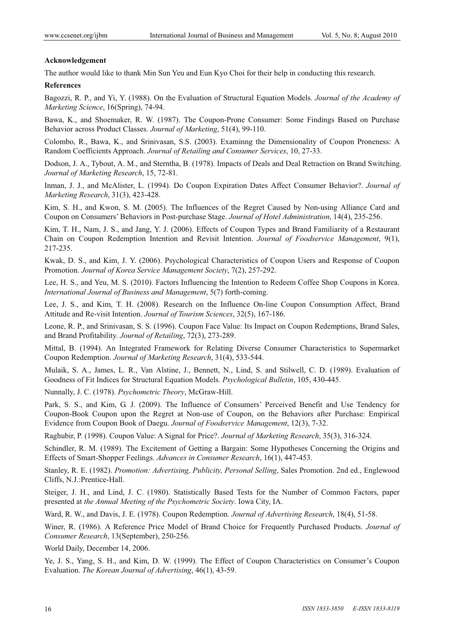# **Acknowledgement**

The author would like to thank Min Sun Yeu and Eun Kyo Choi for their help in conducting this research.

#### **References**

Bagozzi, R. P., and Yi, Y. (1988). On the Evaluation of Structural Equation Models. *Journal of the Academy of Marketing Science*, 16(Spring), 74-94.

Bawa, K., and Shoemaker, R. W. (1987). The Coupon-Prone Consumer: Some Findings Based on Purchase Behavior across Product Classes. *Journal of Marketing*, 51(4), 99-110.

Colombo, R., Bawa, K., and Srinivasan, S.S. (2003). Examinng the Dimensionality of Coupon Proneness: A Random Coefficients Approach. *Journal of Retailing and Consumer Services*, 10, 27-33.

Dodson, J. A., Tybout, A. M., and Sterntha, B. (1978). Impacts of Deals and Deal Retraction on Brand Switching. *Journal of Marketing Research*, 15, 72-81.

Inman, J. J., and McAlister, L. (1994). Do Coupon Expiration Dates Affect Consumer Behavior?. *Journal of Marketing Research*, 31(3), 423-428.

Kim, S. H., and Kwon, S. M. (2005). The Influences of the Regret Caused by Non-using Alliance Card and Coupon on Consumers' Behaviors in Post-purchase Stage. *Journal of Hotel Administration*, 14(4), 235-256.

Kim, T. H., Nam, J. S., and Jang, Y. J. (2006). Effects of Coupon Types and Brand Familiarity of a Restaurant Chain on Coupon Redemption Intention and Revisit Intention. *Journal of Foodservice Management*, 9(1), 217-235.

Kwak, D. S., and Kim, J. Y. (2006). Psychological Characteristics of Coupon Users and Response of Coupon Promotion. *Journal of Korea Service Management Society*, 7(2), 257-292.

Lee, H. S., and Yeu, M. S. (2010). Factors Influencing the Intention to Redeem Coffee Shop Coupons in Korea. *International Journal of Business and Management*, 5(7) forth-coming.

Lee, J. S., and Kim, T. H. (2008). Research on the Influence On-line Coupon Consumption Affect, Brand Attitude and Re-visit Intention. *Journal of Tourism Sciences*, 32(5), 167-186.

Leone, R. P., and Srinivasan, S. S. (1996). Coupon Face Value: Its Impact on Coupon Redemptions, Brand Sales, and Brand Profitability. *Journal of Retailing*, 72(3), 273-289.

Mittal, B. (1994). An Integrated Framework for Relating Diverse Consumer Characteristics to Supermarket Coupon Redemption. *Journal of Marketing Research*, 31(4), 533-544.

Mulaik, S. A., James, L. R., Van Alstine, J., Bennett, N., Lind, S. and Stilwell, C. D. (1989). Evaluation of Goodness of Fit Indices for Structural Equation Models. *Psychological Bulletin*, 105, 430-445.

Nunnally, J. C. (1978). *Psychometric Theory*, McGraw-Hill.

Park, S. S., and Kim, G. J. (2009). The Influence of Consumers' Perceived Benefit and Use Tendency for Coupon-Book Coupon upon the Regret at Non-use of Coupon, on the Behaviors after Purchase: Empirical Evidence from Coupon Book of Daegu. *Journal of Foodservice Management*, 12(3), 7-32.

Raghubir, P. (1998). Coupon Value: A Signal for Price?. *Journal of Marketing Research*, 35(3), 316-324.

Schindler, R. M. (1989). The Excitement of Getting a Bargain: Some Hypotheses Concerning the Origins and Effects of Smart-Shopper Feelings. *Advances in Consumer Research*, 16(1), 447-453.

Stanley, R. E. (1982). *Promotion: Advertising, Publicity, Personal Selling*, Sales Promotion. 2nd ed., Englewood Cliffs, N.J.:Prentice-Hall.

Steiger, J. H., and Lind, J. C. (1980). Statistically Based Tests for the Number of Common Factors, paper presented at *the Annual Meeting of the Psychometric Society*. Iowa City, IA.

Ward, R. W., and Davis, J. E. (1978). Coupon Redemption. *Journal of Advertising Research*, 18(4), 51-58.

Winer, R. (1986). A Reference Price Model of Brand Choice for Frequently Purchased Products. *Journal of Consumer Research*, 13(September), 250-256.

World Daily, December 14, 2006.

Ye, J. S., Yang, S. H., and Kim, D. W. (1999). The Effect of Coupon Characteristics on Consumer's Coupon Evaluation. *The Korean Journal of Advertising*, 46(1), 43-59.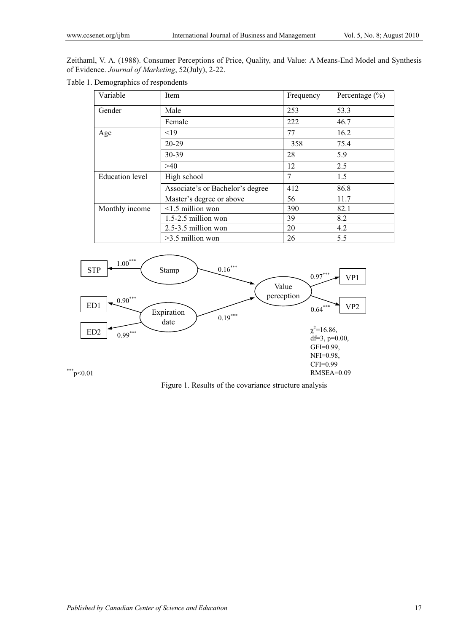Zeithaml, V. A. (1988). Consumer Perceptions of Price, Quality, and Value: A Means-End Model and Synthesis of Evidence. *Journal of Marketing*, 52(July), 2-22.

Table 1. Demographics of respondents

| Variable               | Item                             | Frequency      | Percentage $(\% )$ |
|------------------------|----------------------------------|----------------|--------------------|
| Gender                 | Male                             | 253            | 53.3               |
|                        | Female                           | 222            | 46.7               |
| Age                    | < 19                             | 77             | 16.2               |
|                        | 20-29                            | 358            | 75.4               |
|                        | 30-39                            | 28             | 5.9                |
|                        | >40                              | 12             | 2.5                |
| <b>Education</b> level | High school                      | $\overline{7}$ | 1.5                |
|                        | Associate's or Bachelor's degree | 412            | 86.8               |
|                        | Master's degree or above         | 56             | 11.7               |
| Monthly income         | $\leq$ 1.5 million won           | 390            | 82.1               |
|                        | $1.5 - 2.5$ million won          | 39             | 8.2                |
|                        | $2.5 - 3.5$ million won          | 20             | 4.2                |
|                        | $>3.5$ million won               | 26             | 5.5                |



Figure 1. Results of the covariance structure analysis